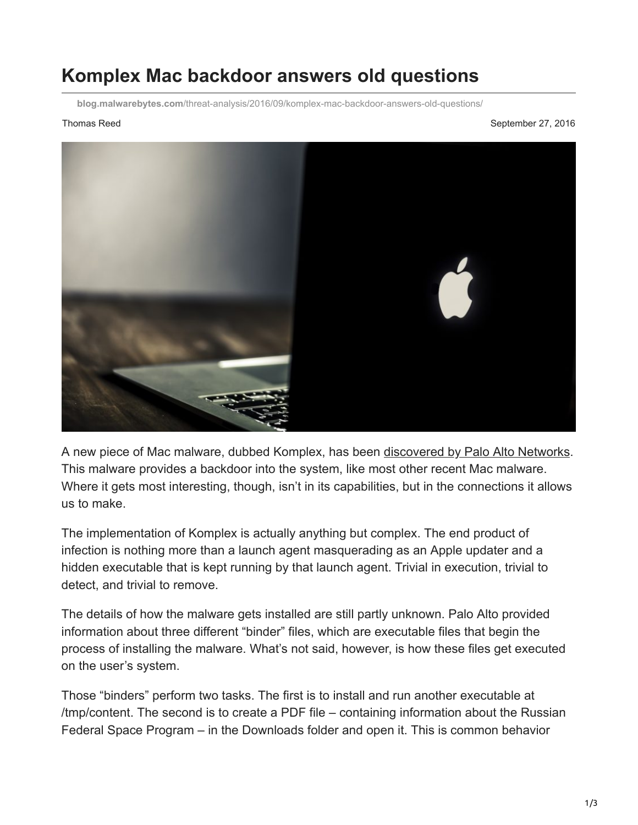## **Komplex Mac backdoor answers old questions**

**blog.malwarebytes.com**[/threat-analysis/2016/09/komplex-mac-backdoor-answers-old-questions/](https://blog.malwarebytes.com/threat-analysis/2016/09/komplex-mac-backdoor-answers-old-questions/)

Thomas Reed September 27, 2016



A new piece of Mac malware, dubbed Komplex, has been [discovered by Palo Alto Networks.](http://researchcenter.paloaltonetworks.com/2016/09/unit42-sofacys-komplex-os-x-trojan/) This malware provides a backdoor into the system, like most other recent Mac malware. Where it gets most interesting, though, isn't in its capabilities, but in the connections it allows us to make.

The implementation of Komplex is actually anything but complex. The end product of infection is nothing more than a launch agent masquerading as an Apple updater and a hidden executable that is kept running by that launch agent. Trivial in execution, trivial to detect, and trivial to remove.

The details of how the malware gets installed are still partly unknown. Palo Alto provided information about three different "binder" files, which are executable files that begin the process of installing the malware. What's not said, however, is how these files get executed on the user's system.

Those "binders" perform two tasks. The first is to install and run another executable at /tmp/content. The second is to create a PDF file – containing information about the Russian Federal Space Program – in the Downloads folder and open it. This is common behavior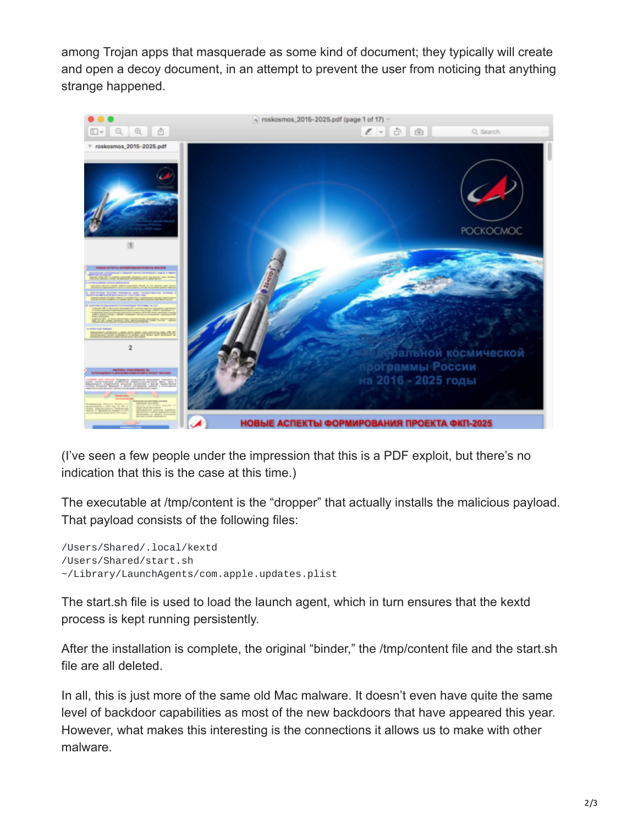among Trojan apps that masquerade as some kind of document; they typically will create and open a decoy document, in an attempt to prevent the user from noticing that anything strange happened.



(I've seen a few people under the impression that this is a PDF exploit, but there's no indication that this is the case at this time.)

The executable at /tmp/content is the "dropper" that actually installs the malicious payload. That payload consists of the following files:

/Users/Shared/.local/kextd /Users/Shared/start.sh ~/Library/LaunchAgents/com.apple.updates.plist

The start.sh file is used to load the launch agent, which in turn ensures that the kextd process is kept running persistently.

After the installation is complete, the original "binder," the /tmp/content file and the start.sh file are all deleted.

In all, this is just more of the same old Mac malware. It doesn't even have quite the same level of backdoor capabilities as most of the new backdoors that have appeared this year. However, what makes this interesting is the connections it allows us to make with other malware.